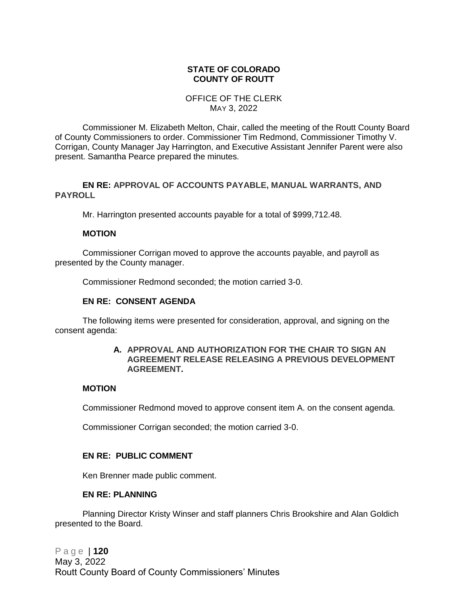#### **STATE OF COLORADO COUNTY OF ROUTT**

#### OFFICE OF THE CLERK MAY 3, 2022

Commissioner M. Elizabeth Melton, Chair, called the meeting of the Routt County Board of County Commissioners to order. Commissioner Tim Redmond, Commissioner Timothy V. Corrigan, County Manager Jay Harrington, and Executive Assistant Jennifer Parent were also present. Samantha Pearce prepared the minutes.

#### **EN RE: APPROVAL OF ACCOUNTS PAYABLE, MANUAL WARRANTS, AND PAYROLL**

Mr. Harrington presented accounts payable for a total of \$999,712.48.

#### **MOTION**

Commissioner Corrigan moved to approve the accounts payable, and payroll as presented by the County manager.

Commissioner Redmond seconded; the motion carried 3-0.

#### **EN RE: CONSENT AGENDA**

The following items were presented for consideration, approval, and signing on the consent agenda:

#### **A. APPROVAL AND AUTHORIZATION FOR THE CHAIR TO SIGN AN AGREEMENT RELEASE RELEASING A PREVIOUS DEVELOPMENT AGREEMENT.**

#### **MOTION**

Commissioner Redmond moved to approve consent item A. on the consent agenda.

Commissioner Corrigan seconded; the motion carried 3-0.

#### **EN RE: PUBLIC COMMENT**

Ken Brenner made public comment.

#### **EN RE: PLANNING**

Planning Director Kristy Winser and staff planners Chris Brookshire and Alan Goldich presented to the Board.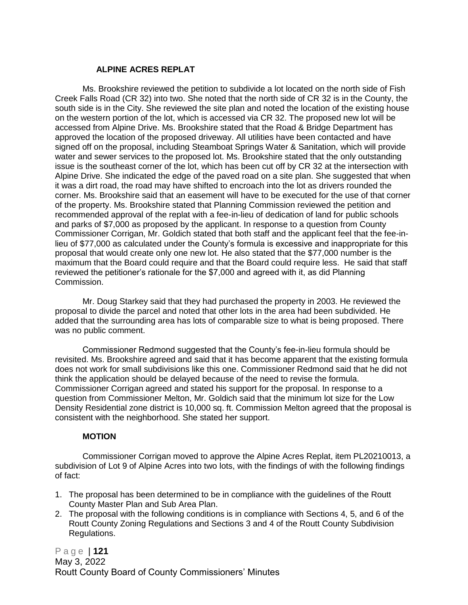#### **ALPINE ACRES REPLAT**

Ms. Brookshire reviewed the petition to subdivide a lot located on the north side of Fish Creek Falls Road (CR 32) into two. She noted that the north side of CR 32 is in the County, the south side is in the City. She reviewed the site plan and noted the location of the existing house on the western portion of the lot, which is accessed via CR 32. The proposed new lot will be accessed from Alpine Drive. Ms. Brookshire stated that the Road & Bridge Department has approved the location of the proposed driveway. All utilities have been contacted and have signed off on the proposal, including Steamboat Springs Water & Sanitation, which will provide water and sewer services to the proposed lot. Ms. Brookshire stated that the only outstanding issue is the southeast corner of the lot, which has been cut off by CR 32 at the intersection with Alpine Drive. She indicated the edge of the paved road on a site plan. She suggested that when it was a dirt road, the road may have shifted to encroach into the lot as drivers rounded the corner. Ms. Brookshire said that an easement will have to be executed for the use of that corner of the property. Ms. Brookshire stated that Planning Commission reviewed the petition and recommended approval of the replat with a fee-in-lieu of dedication of land for public schools and parks of \$7,000 as proposed by the applicant. In response to a question from County Commissioner Corrigan, Mr. Goldich stated that both staff and the applicant feel that the fee-inlieu of \$77,000 as calculated under the County's formula is excessive and inappropriate for this proposal that would create only one new lot. He also stated that the \$77,000 number is the maximum that the Board could require and that the Board could require less. He said that staff reviewed the petitioner's rationale for the \$7,000 and agreed with it, as did Planning Commission.

Mr. Doug Starkey said that they had purchased the property in 2003. He reviewed the proposal to divide the parcel and noted that other lots in the area had been subdivided. He added that the surrounding area has lots of comparable size to what is being proposed. There was no public comment.

Commissioner Redmond suggested that the County's fee-in-lieu formula should be revisited. Ms. Brookshire agreed and said that it has become apparent that the existing formula does not work for small subdivisions like this one. Commissioner Redmond said that he did not think the application should be delayed because of the need to revise the formula. Commissioner Corrigan agreed and stated his support for the proposal. In response to a question from Commissioner Melton, Mr. Goldich said that the minimum lot size for the Low Density Residential zone district is 10,000 sq. ft. Commission Melton agreed that the proposal is consistent with the neighborhood. She stated her support.

#### **MOTION**

Commissioner Corrigan moved to approve the Alpine Acres Replat, item PL20210013, a subdivision of Lot 9 of Alpine Acres into two lots, with the findings of with the following findings of fact:

- 1. The proposal has been determined to be in compliance with the guidelines of the Routt County Master Plan and Sub Area Plan.
- 2. The proposal with the following conditions is in compliance with Sections 4, 5, and 6 of the Routt County Zoning Regulations and Sections 3 and 4 of the Routt County Subdivision Regulations.

P a g e | **121** May 3, 2022 Routt County Board of County Commissioners' Minutes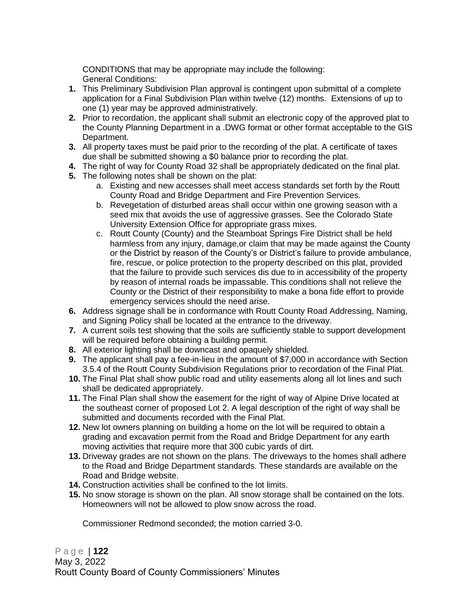CONDITIONS that may be appropriate may include the following: General Conditions:

- **1.** This Preliminary Subdivision Plan approval is contingent upon submittal of a complete application for a Final Subdivision Plan within twelve (12) months. Extensions of up to one (1) year may be approved administratively.
- **2.** Prior to recordation, the applicant shall submit an electronic copy of the approved plat to the County Planning Department in a .DWG format or other format acceptable to the GIS Department.
- **3.** All property taxes must be paid prior to the recording of the plat. A certificate of taxes due shall be submitted showing a \$0 balance prior to recording the plat.
- **4.** The right of way for County Road 32 shall be appropriately dedicated on the final plat.
- **5.** The following notes shall be shown on the plat:
	- a. Existing and new accesses shall meet access standards set forth by the Routt County Road and Bridge Department and Fire Prevention Services.
	- b. Revegetation of disturbed areas shall occur within one growing season with a seed mix that avoids the use of aggressive grasses. See the Colorado State University Extension Office for appropriate grass mixes.
	- c. Routt County (County) and the Steamboat Springs Fire District shall be held harmless from any injury, damage,or claim that may be made against the County or the District by reason of the County's or District's failure to provide ambulance, fire, rescue, or police protection to the property described on this plat, provided that the failure to provide such services dis due to in accessibility of the property by reason of internal roads be impassable. This conditions shall not relieve the County or the District of their responsibility to make a bona fide effort to provide emergency services should the need arise.
- **6.** Address signage shall be in conformance with Routt County Road Addressing, Naming, and Signing Policy shall be located at the entrance to the driveway.
- **7.** A current soils test showing that the soils are sufficiently stable to support development will be required before obtaining a building permit.
- **8.** All exterior lighting shall be downcast and opaquely shielded.
- **9.** The applicant shall pay a fee-in-lieu in the amount of \$7,000 in accordance with Section 3.5.4 of the Routt County Subdivision Regulations prior to recordation of the Final Plat.
- **10.** The Final Plat shall show public road and utility easements along all lot lines and such shall be dedicated appropriately.
- **11.** The Final Plan shall show the easement for the right of way of Alpine Drive located at the southeast corner of proposed Lot 2. A legal description of the right of way shall be submitted and documents recorded with the Final Plat.
- **12.** New lot owners planning on building a home on the lot will be required to obtain a grading and excavation permit from the Road and Bridge Department for any earth moving activities that require more that 300 cubic yards of dirt.
- **13.** Driveway grades are not shown on the plans. The driveways to the homes shall adhere to the Road and Bridge Department standards. These standards are available on the Road and Bridge website.
- **14.** Construction activities shall be confined to the lot limits.
- **15.** No snow storage is shown on the plan. All snow storage shall be contained on the lots. Homeowners will not be allowed to plow snow across the road.

Commissioner Redmond seconded; the motion carried 3-0.

P a g e | **122** May 3, 2022 Routt County Board of County Commissioners' Minutes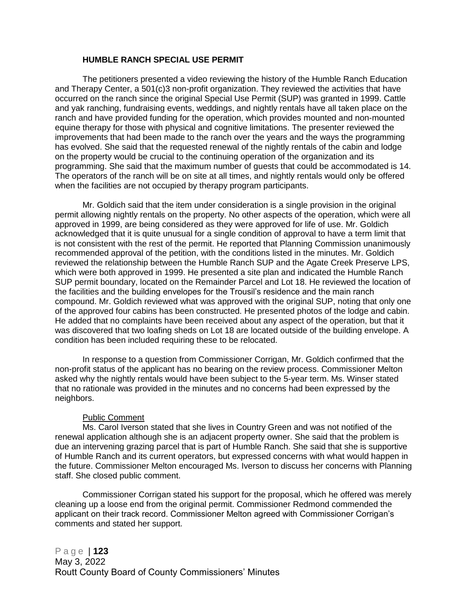#### **HUMBLE RANCH SPECIAL USE PERMIT**

The petitioners presented a video reviewing the history of the Humble Ranch Education and Therapy Center, a 501(c)3 non-profit organization. They reviewed the activities that have occurred on the ranch since the original Special Use Permit (SUP) was granted in 1999. Cattle and yak ranching, fundraising events, weddings, and nightly rentals have all taken place on the ranch and have provided funding for the operation, which provides mounted and non-mounted equine therapy for those with physical and cognitive limitations. The presenter reviewed the improvements that had been made to the ranch over the years and the ways the programming has evolved. She said that the requested renewal of the nightly rentals of the cabin and lodge on the property would be crucial to the continuing operation of the organization and its programming. She said that the maximum number of guests that could be accommodated is 14. The operators of the ranch will be on site at all times, and nightly rentals would only be offered when the facilities are not occupied by therapy program participants.

Mr. Goldich said that the item under consideration is a single provision in the original permit allowing nightly rentals on the property. No other aspects of the operation, which were all approved in 1999, are being considered as they were approved for life of use. Mr. Goldich acknowledged that it is quite unusual for a single condition of approval to have a term limit that is not consistent with the rest of the permit. He reported that Planning Commission unanimously recommended approval of the petition, with the conditions listed in the minutes. Mr. Goldich reviewed the relationship between the Humble Ranch SUP and the Agate Creek Preserve LPS, which were both approved in 1999. He presented a site plan and indicated the Humble Ranch SUP permit boundary, located on the Remainder Parcel and Lot 18. He reviewed the location of the facilities and the building envelopes for the Trousil's residence and the main ranch compound. Mr. Goldich reviewed what was approved with the original SUP, noting that only one of the approved four cabins has been constructed. He presented photos of the lodge and cabin. He added that no complaints have been received about any aspect of the operation, but that it was discovered that two loafing sheds on Lot 18 are located outside of the building envelope. A condition has been included requiring these to be relocated.

In response to a question from Commissioner Corrigan, Mr. Goldich confirmed that the non-profit status of the applicant has no bearing on the review process. Commissioner Melton asked why the nightly rentals would have been subject to the 5-year term. Ms. Winser stated that no rationale was provided in the minutes and no concerns had been expressed by the neighbors.

#### Public Comment

Ms. Carol Iverson stated that she lives in Country Green and was not notified of the renewal application although she is an adjacent property owner. She said that the problem is due an intervening grazing parcel that is part of Humble Ranch. She said that she is supportive of Humble Ranch and its current operators, but expressed concerns with what would happen in the future. Commissioner Melton encouraged Ms. Iverson to discuss her concerns with Planning staff. She closed public comment.

Commissioner Corrigan stated his support for the proposal, which he offered was merely cleaning up a loose end from the original permit. Commissioner Redmond commended the applicant on their track record. Commissioner Melton agreed with Commissioner Corrigan's comments and stated her support.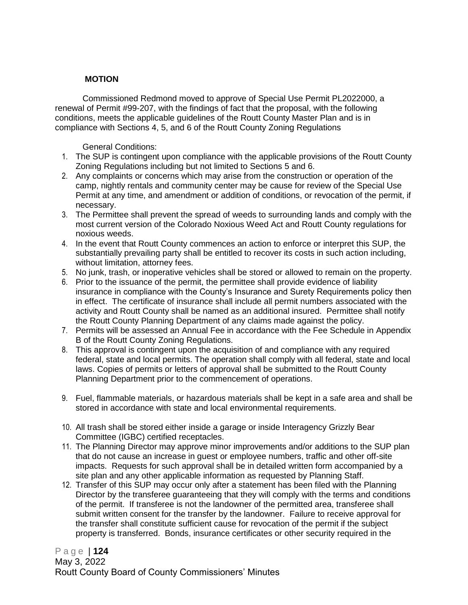# **MOTION**

Commissioned Redmond moved to approve of Special Use Permit PL2022000, a renewal of Permit #99-207, with the findings of fact that the proposal, with the following conditions, meets the applicable guidelines of the Routt County Master Plan and is in compliance with Sections 4, 5, and 6 of the Routt County Zoning Regulations

General Conditions:

- 1. The SUP is contingent upon compliance with the applicable provisions of the Routt County Zoning Regulations including but not limited to Sections 5 and 6.
- 2. Any complaints or concerns which may arise from the construction or operation of the camp, nightly rentals and community center may be cause for review of the Special Use Permit at any time, and amendment or addition of conditions, or revocation of the permit, if necessary.
- 3. The Permittee shall prevent the spread of weeds to surrounding lands and comply with the most current version of the Colorado Noxious Weed Act and Routt County regulations for noxious weeds.
- 4. In the event that Routt County commences an action to enforce or interpret this SUP, the substantially prevailing party shall be entitled to recover its costs in such action including, without limitation, attorney fees.
- 5. No junk, trash, or inoperative vehicles shall be stored or allowed to remain on the property.
- 6. Prior to the issuance of the permit, the permittee shall provide evidence of liability insurance in compliance with the County's Insurance and Surety Requirements policy then in effect. The certificate of insurance shall include all permit numbers associated with the activity and Routt County shall be named as an additional insured. Permittee shall notify the Routt County Planning Department of any claims made against the policy.
- 7. Permits will be assessed an Annual Fee in accordance with the Fee Schedule in Appendix B of the Routt County Zoning Regulations.
- 8. This approval is contingent upon the acquisition of and compliance with any required federal, state and local permits. The operation shall comply with all federal, state and local laws. Copies of permits or letters of approval shall be submitted to the Routt County Planning Department prior to the commencement of operations.
- 9. Fuel, flammable materials, or hazardous materials shall be kept in a safe area and shall be stored in accordance with state and local environmental requirements.
- 10. All trash shall be stored either inside a garage or inside Interagency Grizzly Bear Committee (IGBC) certified receptacles.
- 11. The Planning Director may approve minor improvements and/or additions to the SUP plan that do not cause an increase in guest or employee numbers, traffic and other off-site impacts. Requests for such approval shall be in detailed written form accompanied by a site plan and any other applicable information as requested by Planning Staff.
- 12. Transfer of this SUP may occur only after a statement has been filed with the Planning Director by the transferee guaranteeing that they will comply with the terms and conditions of the permit. If transferee is not the landowner of the permitted area, transferee shall submit written consent for the transfer by the landowner. Failure to receive approval for the transfer shall constitute sufficient cause for revocation of the permit if the subject property is transferred. Bonds, insurance certificates or other security required in the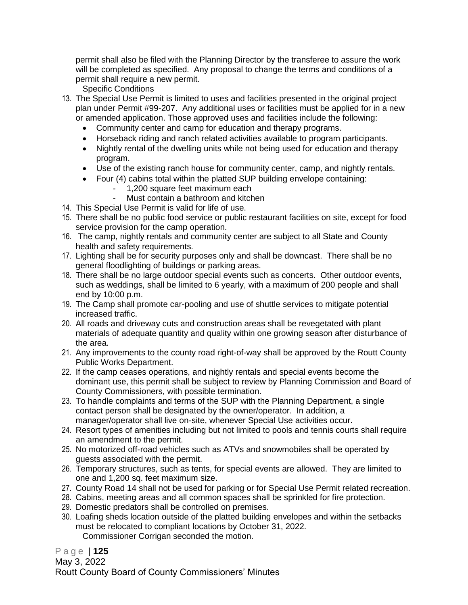permit shall also be filed with the Planning Director by the transferee to assure the work will be completed as specified. Any proposal to change the terms and conditions of a permit shall require a new permit.

# Specific Conditions

- 13. The Special Use Permit is limited to uses and facilities presented in the original project plan under Permit #99-207. Any additional uses or facilities must be applied for in a new or amended application. Those approved uses and facilities include the following:
	- Community center and camp for education and therapy programs.
	- Horseback riding and ranch related activities available to program participants.
	- Nightly rental of the dwelling units while not being used for education and therapy program.
	- Use of the existing ranch house for community center, camp, and nightly rentals.
	- Four (4) cabins total within the platted SUP building envelope containing:
		- 1,200 square feet maximum each
		- Must contain a bathroom and kitchen
- 14. This Special Use Permit is valid for life of use.
- 15. There shall be no public food service or public restaurant facilities on site, except for food service provision for the camp operation.
- 16. The camp, nightly rentals and community center are subject to all State and County health and safety requirements.
- 17. Lighting shall be for security purposes only and shall be downcast. There shall be no general floodlighting of buildings or parking areas.
- 18. There shall be no large outdoor special events such as concerts. Other outdoor events, such as weddings, shall be limited to 6 yearly, with a maximum of 200 people and shall end by 10:00 p.m.
- 19. The Camp shall promote car-pooling and use of shuttle services to mitigate potential increased traffic.
- 20. All roads and driveway cuts and construction areas shall be revegetated with plant materials of adequate quantity and quality within one growing season after disturbance of the area.
- 21. Any improvements to the county road right-of-way shall be approved by the Routt County Public Works Department.
- 22. If the camp ceases operations, and nightly rentals and special events become the dominant use, this permit shall be subject to review by Planning Commission and Board of County Commissioners, with possible termination.
- 23. To handle complaints and terms of the SUP with the Planning Department, a single contact person shall be designated by the owner/operator. In addition, a manager/operator shall live on-site, whenever Special Use activities occur.
- 24. Resort types of amenities including but not limited to pools and tennis courts shall require an amendment to the permit.
- 25. No motorized off-road vehicles such as ATVs and snowmobiles shall be operated by guests associated with the permit.
- 26. Temporary structures, such as tents, for special events are allowed. They are limited to one and 1,200 sq. feet maximum size.
- 27. County Road 14 shall not be used for parking or for Special Use Permit related recreation.
- 28. Cabins, meeting areas and all common spaces shall be sprinkled for fire protection.
- 29. Domestic predators shall be controlled on premises.
- 30. Loafing sheds location outside of the platted building envelopes and within the setbacks must be relocated to compliant locations by October 31, 2022. Commissioner Corrigan seconded the motion.

P a g e | **125**

May 3, 2022 Routt County Board of County Commissioners' Minutes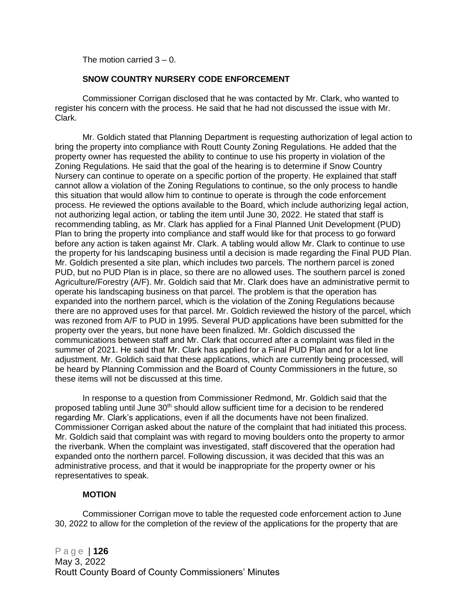The motion carried  $3 - 0$ .

## **SNOW COUNTRY NURSERY CODE ENFORCEMENT**

Commissioner Corrigan disclosed that he was contacted by Mr. Clark, who wanted to register his concern with the process. He said that he had not discussed the issue with Mr. Clark.

Mr. Goldich stated that Planning Department is requesting authorization of legal action to bring the property into compliance with Routt County Zoning Regulations. He added that the property owner has requested the ability to continue to use his property in violation of the Zoning Regulations. He said that the goal of the hearing is to determine if Snow Country Nursery can continue to operate on a specific portion of the property. He explained that staff cannot allow a violation of the Zoning Regulations to continue, so the only process to handle this situation that would allow him to continue to operate is through the code enforcement process. He reviewed the options available to the Board, which include authorizing legal action, not authorizing legal action, or tabling the item until June 30, 2022. He stated that staff is recommending tabling, as Mr. Clark has applied for a Final Planned Unit Development (PUD) Plan to bring the property into compliance and staff would like for that process to go forward before any action is taken against Mr. Clark. A tabling would allow Mr. Clark to continue to use the property for his landscaping business until a decision is made regarding the Final PUD Plan. Mr. Goldich presented a site plan, which includes two parcels. The northern parcel is zoned PUD, but no PUD Plan is in place, so there are no allowed uses. The southern parcel is zoned Agriculture/Forestry (A/F). Mr. Goldich said that Mr. Clark does have an administrative permit to operate his landscaping business on that parcel. The problem is that the operation has expanded into the northern parcel, which is the violation of the Zoning Regulations because there are no approved uses for that parcel. Mr. Goldich reviewed the history of the parcel, which was rezoned from A/F to PUD in 1995. Several PUD applications have been submitted for the property over the years, but none have been finalized. Mr. Goldich discussed the communications between staff and Mr. Clark that occurred after a complaint was filed in the summer of 2021. He said that Mr. Clark has applied for a Final PUD Plan and for a lot line adjustment. Mr. Goldich said that these applications, which are currently being processed, will be heard by Planning Commission and the Board of County Commissioners in the future, so these items will not be discussed at this time.

In response to a question from Commissioner Redmond, Mr. Goldich said that the proposed tabling until June 30<sup>th</sup> should allow sufficient time for a decision to be rendered regarding Mr. Clark's applications, even if all the documents have not been finalized. Commissioner Corrigan asked about the nature of the complaint that had initiated this process. Mr. Goldich said that complaint was with regard to moving boulders onto the property to armor the riverbank. When the complaint was investigated, staff discovered that the operation had expanded onto the northern parcel. Following discussion, it was decided that this was an administrative process, and that it would be inappropriate for the property owner or his representatives to speak.

#### **MOTION**

Commissioner Corrigan move to table the requested code enforcement action to June 30, 2022 to allow for the completion of the review of the applications for the property that are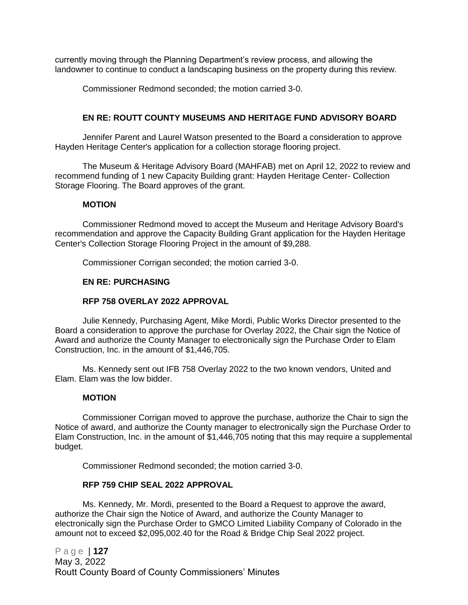currently moving through the Planning Department's review process, and allowing the landowner to continue to conduct a landscaping business on the property during this review.

Commissioner Redmond seconded; the motion carried 3-0.

## **EN RE: ROUTT COUNTY MUSEUMS AND HERITAGE FUND ADVISORY BOARD**

Jennifer Parent and Laurel Watson presented to the Board a consideration to approve Hayden Heritage Center's application for a collection storage flooring project.

The Museum & Heritage Advisory Board (MAHFAB) met on April 12, 2022 to review and recommend funding of 1 new Capacity Building grant: Hayden Heritage Center- Collection Storage Flooring. The Board approves of the grant.

#### **MOTION**

Commissioner Redmond moved to accept the Museum and Heritage Advisory Board's recommendation and approve the Capacity Building Grant application for the Hayden Heritage Center's Collection Storage Flooring Project in the amount of \$9,288.

Commissioner Corrigan seconded; the motion carried 3-0.

#### **EN RE: PURCHASING**

#### **RFP 758 OVERLAY 2022 APPROVAL**

Julie Kennedy, Purchasing Agent, Mike Mordi, Public Works Director presented to the Board a consideration to approve the purchase for Overlay 2022, the Chair sign the Notice of Award and authorize the County Manager to electronically sign the Purchase Order to Elam Construction, Inc. in the amount of \$1,446,705.

Ms. Kennedy sent out IFB 758 Overlay 2022 to the two known vendors, United and Elam. Elam was the low bidder.

#### **MOTION**

Commissioner Corrigan moved to approve the purchase, authorize the Chair to sign the Notice of award, and authorize the County manager to electronically sign the Purchase Order to Elam Construction, Inc. in the amount of \$1,446,705 noting that this may require a supplemental budget.

Commissioner Redmond seconded; the motion carried 3-0.

#### **RFP 759 CHIP SEAL 2022 APPROVAL**

Ms. Kennedy, Mr. Mordi, presented to the Board a Request to approve the award, authorize the Chair sign the Notice of Award, and authorize the County Manager to electronically sign the Purchase Order to GMCO Limited Liability Company of Colorado in the amount not to exceed \$2,095,002.40 for the Road & Bridge Chip Seal 2022 project.

P a g e | **127** May 3, 2022 Routt County Board of County Commissioners' Minutes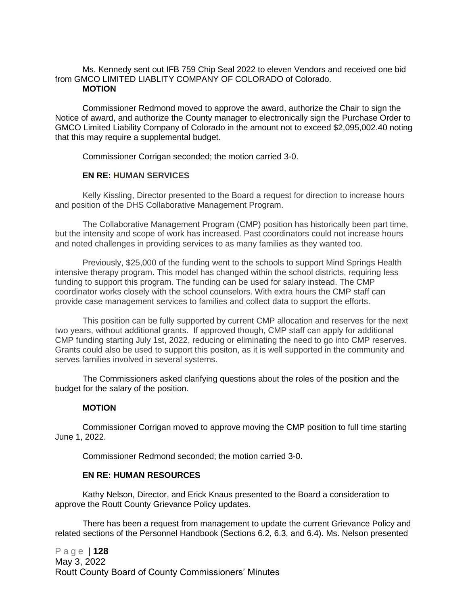#### Ms. Kennedy sent out IFB 759 Chip Seal 2022 to eleven Vendors and received one bid from GMCO LIMITED LIABLITY COMPANY OF COLORADO of Colorado. **MOTION**

Commissioner Redmond moved to approve the award, authorize the Chair to sign the Notice of award, and authorize the County manager to electronically sign the Purchase Order to GMCO Limited Liability Company of Colorado in the amount not to exceed \$2,095,002.40 noting that this may require a supplemental budget.

Commissioner Corrigan seconded; the motion carried 3-0.

#### **EN RE: HUMAN SERVICES**

Kelly Kissling, Director presented to the Board a request for direction to increase hours and position of the DHS Collaborative Management Program.

The Collaborative Management Program (CMP) position has historically been part time, but the intensity and scope of work has increased. Past coordinators could not increase hours and noted challenges in providing services to as many families as they wanted too.

Previously, \$25,000 of the funding went to the schools to support Mind Springs Health intensive therapy program. This model has changed within the school districts, requiring less funding to support this program. The funding can be used for salary instead. The CMP coordinator works closely with the school counselors. With extra hours the CMP staff can provide case management services to families and collect data to support the efforts.

This position can be fully supported by current CMP allocation and reserves for the next two years, without additional grants. If approved though, CMP staff can apply for additional CMP funding starting July 1st, 2022, reducing or eliminating the need to go into CMP reserves. Grants could also be used to support this positon, as it is well supported in the community and serves families involved in several systems.

The Commissioners asked clarifying questions about the roles of the position and the budget for the salary of the position.

#### **MOTION**

Commissioner Corrigan moved to approve moving the CMP position to full time starting June 1, 2022.

Commissioner Redmond seconded; the motion carried 3-0.

#### **EN RE: HUMAN RESOURCES**

Kathy Nelson, Director, and Erick Knaus presented to the Board a consideration to approve the Routt County Grievance Policy updates.

There has been a request from management to update the current Grievance Policy and related sections of the Personnel Handbook (Sections 6.2, 6.3, and 6.4). Ms. Nelson presented

P a g e | **128** May 3, 2022 Routt County Board of County Commissioners' Minutes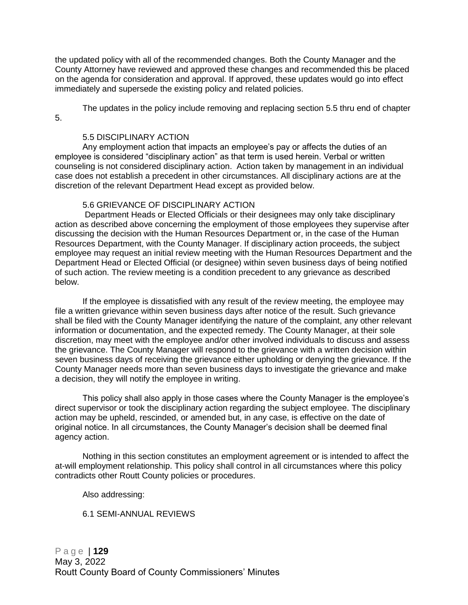the updated policy with all of the recommended changes. Both the County Manager and the County Attorney have reviewed and approved these changes and recommended this be placed on the agenda for consideration and approval. If approved, these updates would go into effect immediately and supersede the existing policy and related policies.

The updates in the policy include removing and replacing section 5.5 thru end of chapter 5.

#### 5.5 DISCIPLINARY ACTION

Any employment action that impacts an employee's pay or affects the duties of an employee is considered "disciplinary action" as that term is used herein. Verbal or written counseling is not considered disciplinary action. Action taken by management in an individual case does not establish a precedent in other circumstances. All disciplinary actions are at the discretion of the relevant Department Head except as provided below.

#### 5.6 GRIEVANCE OF DISCIPLINARY ACTION

Department Heads or Elected Officials or their designees may only take disciplinary action as described above concerning the employment of those employees they supervise after discussing the decision with the Human Resources Department or, in the case of the Human Resources Department, with the County Manager. If disciplinary action proceeds, the subject employee may request an initial review meeting with the Human Resources Department and the Department Head or Elected Official (or designee) within seven business days of being notified of such action. The review meeting is a condition precedent to any grievance as described below.

If the employee is dissatisfied with any result of the review meeting, the employee may file a written grievance within seven business days after notice of the result. Such grievance shall be filed with the County Manager identifying the nature of the complaint, any other relevant information or documentation, and the expected remedy. The County Manager, at their sole discretion, may meet with the employee and/or other involved individuals to discuss and assess the grievance. The County Manager will respond to the grievance with a written decision within seven business days of receiving the grievance either upholding or denying the grievance. If the County Manager needs more than seven business days to investigate the grievance and make a decision, they will notify the employee in writing.

This policy shall also apply in those cases where the County Manager is the employee's direct supervisor or took the disciplinary action regarding the subject employee. The disciplinary action may be upheld, rescinded, or amended but, in any case, is effective on the date of original notice. In all circumstances, the County Manager's decision shall be deemed final agency action.

Nothing in this section constitutes an employment agreement or is intended to affect the at-will employment relationship. This policy shall control in all circumstances where this policy contradicts other Routt County policies or procedures.

Also addressing:

#### 6.1 SEMI-ANNUAL REVIEWS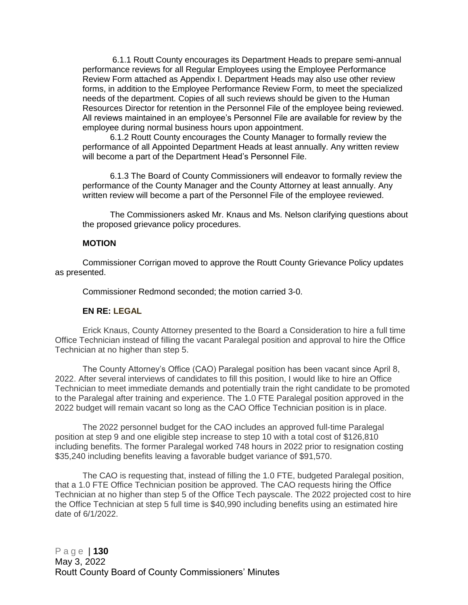6.1.1 Routt County encourages its Department Heads to prepare semi-annual performance reviews for all Regular Employees using the Employee Performance Review Form attached as Appendix I. Department Heads may also use other review forms, in addition to the Employee Performance Review Form, to meet the specialized needs of the department. Copies of all such reviews should be given to the Human Resources Director for retention in the Personnel File of the employee being reviewed. All reviews maintained in an employee's Personnel File are available for review by the employee during normal business hours upon appointment.

6.1.2 Routt County encourages the County Manager to formally review the performance of all Appointed Department Heads at least annually. Any written review will become a part of the Department Head's Personnel File.

6.1.3 The Board of County Commissioners will endeavor to formally review the performance of the County Manager and the County Attorney at least annually. Any written review will become a part of the Personnel File of the employee reviewed.

The Commissioners asked Mr. Knaus and Ms. Nelson clarifying questions about the proposed grievance policy procedures.

#### **MOTION**

Commissioner Corrigan moved to approve the Routt County Grievance Policy updates as presented.

Commissioner Redmond seconded; the motion carried 3-0.

#### **EN RE: LEGAL**

Erick Knaus, County Attorney presented to the Board a Consideration to hire a full time Office Technician instead of filling the vacant Paralegal position and approval to hire the Office Technician at no higher than step 5.

The County Attorney's Office (CAO) Paralegal position has been vacant since April 8, 2022. After several interviews of candidates to fill this position, I would like to hire an Office Technician to meet immediate demands and potentially train the right candidate to be promoted to the Paralegal after training and experience. The 1.0 FTE Paralegal position approved in the 2022 budget will remain vacant so long as the CAO Office Technician position is in place.

The 2022 personnel budget for the CAO includes an approved full-time Paralegal position at step 9 and one eligible step increase to step 10 with a total cost of \$126,810 including benefits. The former Paralegal worked 748 hours in 2022 prior to resignation costing \$35,240 including benefits leaving a favorable budget variance of \$91,570.

The CAO is requesting that, instead of filling the 1.0 FTE, budgeted Paralegal position, that a 1.0 FTE Office Technician position be approved. The CAO requests hiring the Office Technician at no higher than step 5 of the Office Tech payscale. The 2022 projected cost to hire the Office Technician at step 5 full time is \$40,990 including benefits using an estimated hire date of 6/1/2022.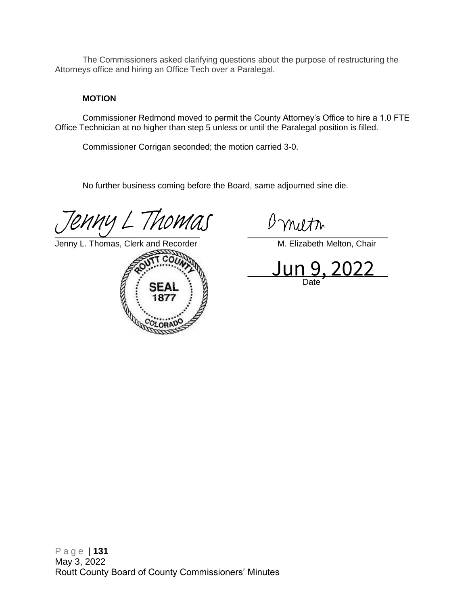The Commissioners asked clarifying questions about the purpose of restructuring the Attorneys office and hiring an Office Tech over a Paralegal.

# **MOTION**

Commissioner Redmond moved to permit the County Attorney's Office to hire a 1.0 FTE Office Technician at no higher than step 5 unless or until the Paralegal position is filled.

Commissioner Corrigan seconded; the motion carried 3-0.

No further business coming before the Board, same adjourned sine die.

 $\overline{\phantom{a}}$ [Jenny L Thomas](https://na4.documents.adobe.com/verifier?tx=CBJCHBCAABAA6HkbiRNhiKdUJkLpCrNrFHEhF_zgFKQc) Byneth

Jenny L. Thomas[, Clerk and Recorder](https://na4.documents.adobe.com/verifier?tx=CBJCHBCAABAA6HkbiRNhiKdUJkLpCrNrFHEhF_zgFKQc) M. Elizabeth Melton, Chair

 $\sqcup$ ull 9, ZUZZ $\sqcup$ Date